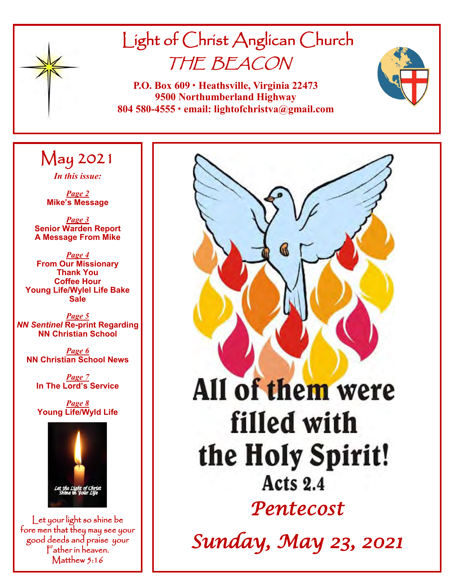

# Light of Christ Anglican Church THE BEACON

**P.O. Box 609 • Heathsville, Virginia 22473 9500 Northumberland Highway 804 580-4555 • email: lightofchristva@gmail.com**

## May 2021

*In this issue:*

*Page 2* **Mike's Message**

*Page 3* **Senior Warden Report A Message From Mike**

*Page 4* **From Our Missionary Thank You Coffee Hour Young Life/Wylel Life Bake Sale**

*Page 5 NN Sentinel* **Re-print Regarding NN Christian School**

*Page 6* **NN Christian School News**

> *Page 7* **In The Lord's Service**

*Page 8* **Young Life/Wyld Life**



Let your light so shine be fore men that they may see your good deeds and praise your Father in heaven. Matthew 5:16

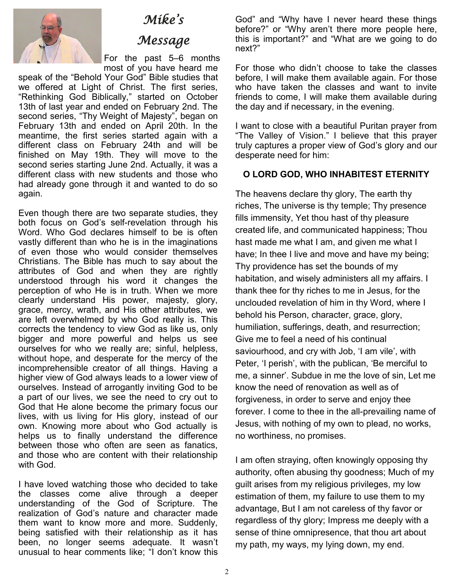

## *Mike's*

## *Message*

For the past 5–6 months most of you have heard me

speak of the "Behold Your God" Bible studies that we offered at Light of Christ. The first series, "Rethinking God Biblically," started on October 13th of last year and ended on February 2nd. The second series, "Thy Weight of Majesty", began on February 13th and ended on April 20th. In the meantime, the first series started again with a different class on February 24th and will be finished on May 19th. They will move to the second series starting June 2nd. Actually, it was a different class with new students and those who had already gone through it and wanted to do so again.

Even though there are two separate studies, they both focus on God's self-revelation through his Word. Who God declares himself to be is often vastly different than who he is in the imaginations of even those who would consider themselves Christians. The Bible has much to say about the attributes of God and when they are rightly understood through his word it changes the perception of who He is in truth. When we more clearly understand His power, majesty, glory, grace, mercy, wrath, and His other attributes, we are left overwhelmed by who God really is. This corrects the tendency to view God as like us, only bigger and more powerful and helps us see ourselves for who we really are; sinful, helpless, without hope, and desperate for the mercy of the incomprehensible creator of all things. Having a higher view of God always leads to a lower view of ourselves. Instead of arrogantly inviting God to be a part of our lives, we see the need to cry out to God that He alone become the primary focus our lives, with us living for His glory, instead of our own. Knowing more about who God actually is helps us to finally understand the difference between those who often are seen as fanatics, and those who are content with their relationship with God.

I have loved watching those who decided to take the classes come alive through a deeper understanding of the God of Scripture. The realization of God's nature and character made them want to know more and more. Suddenly, being satisfied with their relationship as it has been, no longer seems adequate. It wasn't unusual to hear comments like; "I don't know this

God" and "Why have I never heard these things before?" or "Why aren't there more people here, this is important?" and "What are we going to do next?"

For those who didn't choose to take the classes before, I will make them available again. For those who have taken the classes and want to invite friends to come, I will make them available during the day and if necessary, in the evening.

I want to close with a beautiful Puritan prayer from "The Valley of Vision." I believe that this prayer truly captures a proper view of God's glory and our desperate need for him:

#### **O LORD GOD, WHO INHABITEST ETERNITY**

The heavens declare thy glory, The earth thy riches, The universe is thy temple; Thy presence fills immensity, Yet thou hast of thy pleasure created life, and communicated happiness; Thou hast made me what I am, and given me what I have; In thee I live and move and have my being; Thy providence has set the bounds of my habitation, and wisely administers all my affairs. I thank thee for thy riches to me in Jesus, for the unclouded revelation of him in thy Word, where I behold his Person, character, grace, glory, humiliation, sufferings, death, and resurrection; Give me to feel a need of his continual saviourhood, and cry with Job, 'I am vile', with Peter, 'I perish', with the publican, 'Be merciful to me, a sinner'. Subdue in me the love of sin, Let me know the need of renovation as well as of forgiveness, in order to serve and enjoy thee forever. I come to thee in the all-prevailing name of Jesus, with nothing of my own to plead, no works, no worthiness, no promises.

I am often straying, often knowingly opposing thy authority, often abusing thy goodness; Much of my guilt arises from my religious privileges, my low estimation of them, my failure to use them to my advantage, But I am not careless of thy favor or regardless of thy glory; Impress me deeply with a sense of thine omnipresence, that thou art about my path, my ways, my lying down, my end.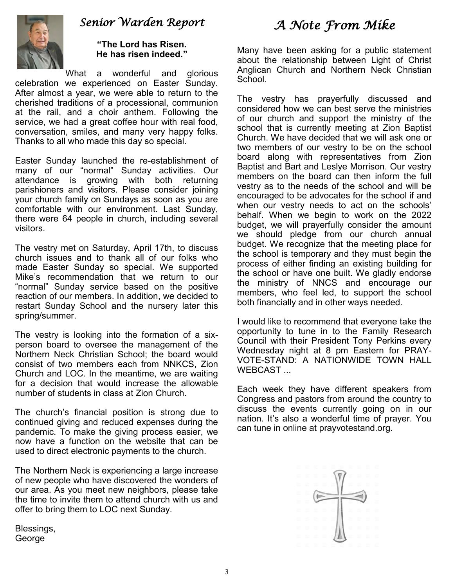

## *Senior Warden Report*

**"The Lord has Risen. He has risen indeed."**

What a wonderful and glorious celebration we experienced on Easter Sunday. After almost a year, we were able to return to the cherished traditions of a processional, communion at the rail, and a choir anthem. Following the service, we had a great coffee hour with real food, conversation, smiles, and many very happy folks. Thanks to all who made this day so special.

Easter Sunday launched the re-establishment of many of our "normal" Sunday activities. Our attendance is growing with both returning parishioners and visitors. Please consider joining your church family on Sundays as soon as you are comfortable with our environment. Last Sunday, there were 64 people in church, including several visitors.

The vestry met on Saturday, April 17th, to discuss church issues and to thank all of our folks who made Easter Sunday so special. We supported Mike's recommendation that we return to our "normal" Sunday service based on the positive reaction of our members. In addition, we decided to restart Sunday School and the nursery later this spring/summer.

The vestry is looking into the formation of a sixperson board to oversee the management of the Northern Neck Christian School; the board would consist of two members each from NNKCS, Zion Church and LOC. In the meantime, we are waiting for a decision that would increase the allowable number of students in class at Zion Church.

The church's financial position is strong due to continued giving and reduced expenses during the pandemic. To make the giving process easier, we now have a function on the website that can be used to direct electronic payments to the church.

The Northern Neck is experiencing a large increase of new people who have discovered the wonders of our area. As you meet new neighbors, please take the time to invite them to attend church with us and offer to bring them to LOC next Sunday.

Blessings, George

## *A Note From Mike*

Many have been asking for a public statement about the relationship between Light of Christ Anglican Church and Northern Neck Christian School.

The vestry has prayerfully discussed and considered how we can best serve the ministries of our church and support the ministry of the school that is currently meeting at Zion Baptist Church. We have decided that we will ask one or two members of our vestry to be on the school board along with representatives from Zion Baptist and Bart and Leslye Morrison. Our vestry members on the board can then inform the full vestry as to the needs of the school and will be encouraged to be advocates for the school if and when our vestry needs to act on the schools' behalf. When we begin to work on the 2022 budget, we will prayerfully consider the amount we should pledge from our church annual budget. We recognize that the meeting place for the school is temporary and they must begin the process of either finding an existing building for the school or have one built. We gladly endorse the ministry of NNCS and encourage our members, who feel led, to support the school both financially and in other ways needed.

I would like to recommend that everyone take the opportunity to tune in to the Family Research Council with their President Tony Perkins every Wednesday night at 8 pm Eastern for PRAY-VOTE-STAND: A NATIONWIDE TOWN HALL WEBCAST ...

Each week they have different speakers from Congress and pastors from around the country to discuss the events currently going on in our nation. It's also a wonderful time of prayer. You can tune in online at prayvotestand.org.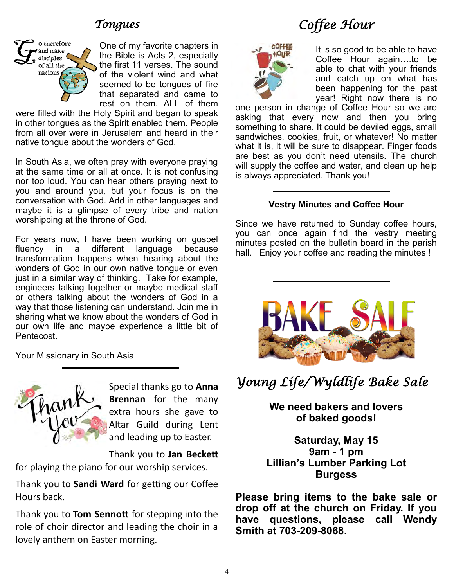## *Tongues*



One of my favorite chapters in the Bible is Acts 2, especially the first 11 verses. The sound of the violent wind and what seemed to be tongues of fire that separated and came to rest on them. ALL of them

were filled with the Holy Spirit and began to speak in other tongues as the Spirit enabled them. People from all over were in Jerusalem and heard in their native tongue about the wonders of God.

In South Asia, we often pray with everyone praying at the same time or all at once. It is not confusing nor too loud. You can hear others praying next to you and around you, but your focus is on the conversation with God. Add in other languages and maybe it is a glimpse of every tribe and nation worshipping at the throne of God.

For years now, I have been working on gospel fluency in a different language because transformation happens when hearing about the wonders of God in our own native tongue or even just in a similar way of thinking. Take for example, engineers talking together or maybe medical staff or others talking about the wonders of God in a way that those listening can understand. Join me in sharing what we know about the wonders of God in our own life and maybe experience a little bit of Pentecost.

Your Missionary in South Asia



Special thanks go to **Anna Brennan** for the many extra hours she gave to Altar Guild during Lent and leading up to Easter.

Thank you to **Jan Beckett** 

for playing the piano for our worship services.

Thank you to **Sandi Ward** for getting our Coffee Hours back.

Thank you to **Tom Sennott** for stepping into the role of choir director and leading the choir in a lovely anthem on Easter morning.

## *Coffee Hour*



It is so good to be able to have Coffee Hour again….to be able to chat with your friends and catch up on what has been happening for the past year! Right now there is no

one person in change of Coffee Hour so we are asking that every now and then you bring something to share. It could be deviled eggs, small sandwiches, cookies, fruit, or whatever! No matter what it is, it will be sure to disappear. Finger foods are best as you don't need utensils. The church will supply the coffee and water, and clean up help is always appreciated. Thank you!

#### **Vestry Minutes and Coffee Hour**

Since we have returned to Sunday coffee hours, you can once again find the vestry meeting minutes posted on the bulletin board in the parish hall. Enjoy your coffee and reading the minutes !



## *Young Life/Wyldlife Bake Sale*

**We need bakers and lovers of baked goods!**

**Saturday, May 15 9am - 1 pm Lillian's Lumber Parking Lot Burgess**

**Please bring items to the bake sale or drop off at the church on Friday. If you have questions, please call Wendy Smith at 703-209-8068.**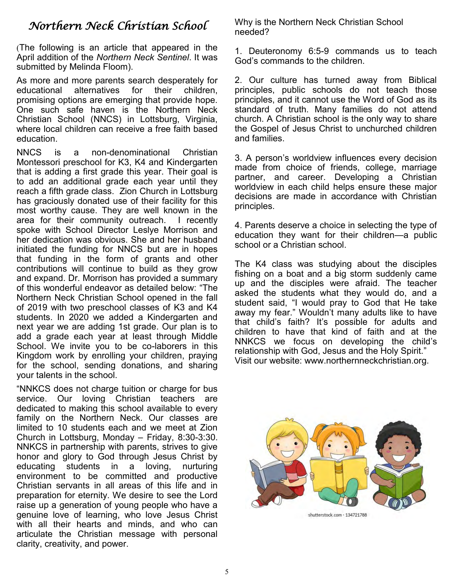## *Northern Neck Christian School*

(The following is an article that appeared in the April addition of the *Northern Neck Sentinel*. It was submitted by Melinda Floom).

As more and more parents search desperately for educational alternatives for their children, promising options are emerging that provide hope. One such safe haven is the Northern Neck Christian School (NNCS) in Lottsburg, Virginia, where local children can receive a free faith based education.

NNCS is a non-denominational Christian Montessori preschool for K3, K4 and Kindergarten that is adding a first grade this year. Their goal is to add an additional grade each year until they reach a fifth grade class. Zion Church in Lottsburg has graciously donated use of their facility for this most worthy cause. They are well known in the area for their community outreach. I recently spoke with School Director Leslye Morrison and her dedication was obvious. She and her husband initiated the funding for NNCS but are in hopes that funding in the form of grants and other contributions will continue to build as they grow and expand. Dr. Morrison has provided a summary of this wonderful endeavor as detailed below: "The Northern Neck Christian School opened in the fall of 2019 with two preschool classes of K3 and K4 students. In 2020 we added a Kindergarten and next year we are adding 1st grade. Our plan is to add a grade each year at least through Middle School. We invite you to be co-laborers in this Kingdom work by enrolling your children, praying for the school, sending donations, and sharing your talents in the school.

"NNKCS does not charge tuition or charge for bus service. Our loving Christian teachers are dedicated to making this school available to every family on the Northern Neck. Our classes are limited to 10 students each and we meet at Zion Church in Lottsburg, Monday – Friday, 8:30-3:30. NNKCS in partnership with parents, strives to give honor and glory to God through Jesus Christ by educating students in a loving, nurturing environment to be committed and productive Christian servants in all areas of this life and in preparation for eternity. We desire to see the Lord raise up a generation of young people who have a genuine love of learning, who love Jesus Christ with all their hearts and minds, and who can articulate the Christian message with personal clarity, creativity, and power.

Why is the Northern Neck Christian School needed?

1. Deuteronomy 6:5-9 commands us to teach God's commands to the children.

2. Our culture has turned away from Biblical principles, public schools do not teach those principles, and it cannot use the Word of God as its standard of truth. Many families do not attend church. A Christian school is the only way to share the Gospel of Jesus Christ to unchurched children and families.

3. A person's worldview influences every decision made from choice of friends, college, marriage partner, and career. Developing a Christian worldview in each child helps ensure these major decisions are made in accordance with Christian principles.

4. Parents deserve a choice in selecting the type of education they want for their children—a public school or a Christian school.

The K4 class was studying about the disciples fishing on a boat and a big storm suddenly came up and the disciples were afraid. The teacher asked the students what they would do, and a student said, "I would pray to God that He take away my fear." Wouldn't many adults like to have that child's faith? It's possible for adults and children to have that kind of faith and at the NNKCS we focus on developing the child's relationship with God, Jesus and the Holy Spirit." Visit our website: www.northernneckchristian.org.

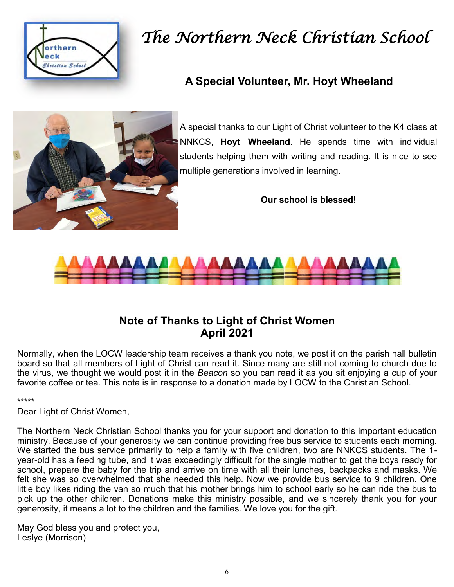

# *The Northern Neck Christian School*

## **A Special Volunteer, Mr. Hoyt Wheeland**



A special thanks to our Light of Christ volunteer to the K4 class at NNKCS, **Hoyt Wheeland**. He spends time with individual students helping them with writing and reading. It is nice to see multiple generations involved in learning.

**Our school is blessed!**



### **Note of Thanks to Light of Christ Women April 2021**

Normally, when the LOCW leadership team receives a thank you note, we post it on the parish hall bulletin board so that all members of Light of Christ can read it. Since many are still not coming to church due to the virus, we thought we would post it in the *Beacon* so you can read it as you sit enjoying a cup of your favorite coffee or tea. This note is in response to a donation made by LOCW to the Christian School.

\*\*\*\*\*

Dear Light of Christ Women,

The Northern Neck Christian School thanks you for your support and donation to this important education ministry. Because of your generosity we can continue providing free bus service to students each morning. We started the bus service primarily to help a family with five children, two are NNKCS students. The 1 year-old has a feeding tube, and it was exceedingly difficult for the single mother to get the boys ready for school, prepare the baby for the trip and arrive on time with all their lunches, backpacks and masks. We felt she was so overwhelmed that she needed this help. Now we provide bus service to 9 children. One little boy likes riding the van so much that his mother brings him to school early so he can ride the bus to pick up the other children. Donations make this ministry possible, and we sincerely thank you for your generosity, it means a lot to the children and the families. We love you for the gift.

May God bless you and protect you, Leslye (Morrison)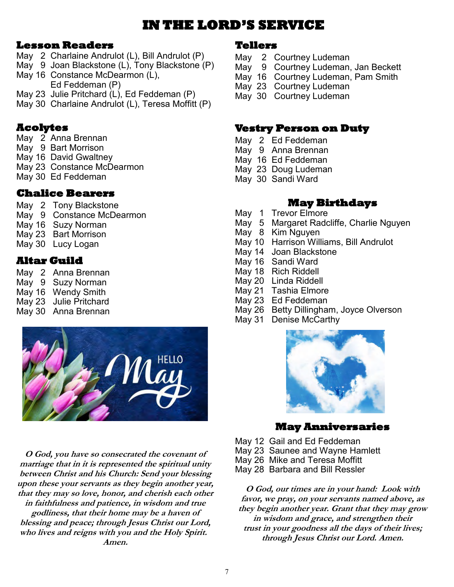## **IN THE LORD'S SERVICE**

#### **Lesson Readers**

- May 2 Charlaine Andrulot (L), Bill Andrulot (P)
- May 9 Joan Blackstone (L), Tony Blackstone (P)
- May 16 Constance McDearmon (L), Ed Feddeman (P)
- May 23 Julie Pritchard (L), Ed Feddeman (P)
- May 30 Charlaine Andrulot (L), Teresa Moffitt (P)

#### **Acolytes**

- May 2 Anna Brennan
- May 9 Bart Morrison
- May 16 David Gwaltney
- May 23 Constance McDearmon
- May 30 Ed Feddeman

### **Chalice Bearers**

- May 2 Tony Blackstone
- May 9 Constance McDearmon
- May 16 Suzy Norman
- May 23 Bart Morrison
- May 30 Lucy Logan

### **Altar Guild**

May 2 Anna Brennan

- May 9 Suzy Norman
- May 16 Wendy Smith May 23 Julie Pritchard
- May 30 Anna Brennan



**O God, you have so consecrated the covenant of marriage that in it is represented the spiritual unity between Christ and his Church: Send your blessing upon these your servants as they begin another year, that they may so love, honor, and cherish each other in faithfulness and patience, in wisdom and true godliness, that their home may be a haven of blessing and peace; through Jesus Christ our Lord, who lives and reigns with you and the Holy Spirit. Amen.**

#### **Tellers**

- May 2 Courtney Ludeman
- May 9 Courtney Ludeman, Jan Beckett
- May 16 Courtney Ludeman, Pam Smith
- May 23 Courtney Ludeman
- May 30 Courtney Ludeman

#### **Vestry Person on Duty**

- May 2 Ed Feddeman
- May 9 Anna Brennan
- May 16 Ed Feddeman
- May 23 Doug Ludeman
- May 30 Sandi Ward

#### **May Birthdays**

- May 1 Trevor Elmore
- May 5 Margaret Radcliffe, Charlie Nguyen
- May 8 Kim Nguyen
- May 10 Harrison Williams, Bill Andrulot
- May 14 Joan Blackstone
- May 16 Sandi Ward
- May 18 Rich Riddell
- May 20 Linda Riddell
- May 21 Tashia Elmore
- May 23 Ed Feddeman
- May 26 Betty Dillingham, Joyce Olverson
- May 31 Denise McCarthy



#### **May Anniversaries**

- May 12 Gail and Ed Feddeman
- May 23 Saunee and Wayne Hamlett
- May 26 Mike and Teresa Moffitt
- May 28 Barbara and Bill Ressler

**O God, our times are in your hand: Look with favor, we pray, on your servants named above, as they begin another year. Grant that they may grow in wisdom and grace, and strengthen their trust in your goodness all the days of their lives; through Jesus Christ our Lord. Amen.**